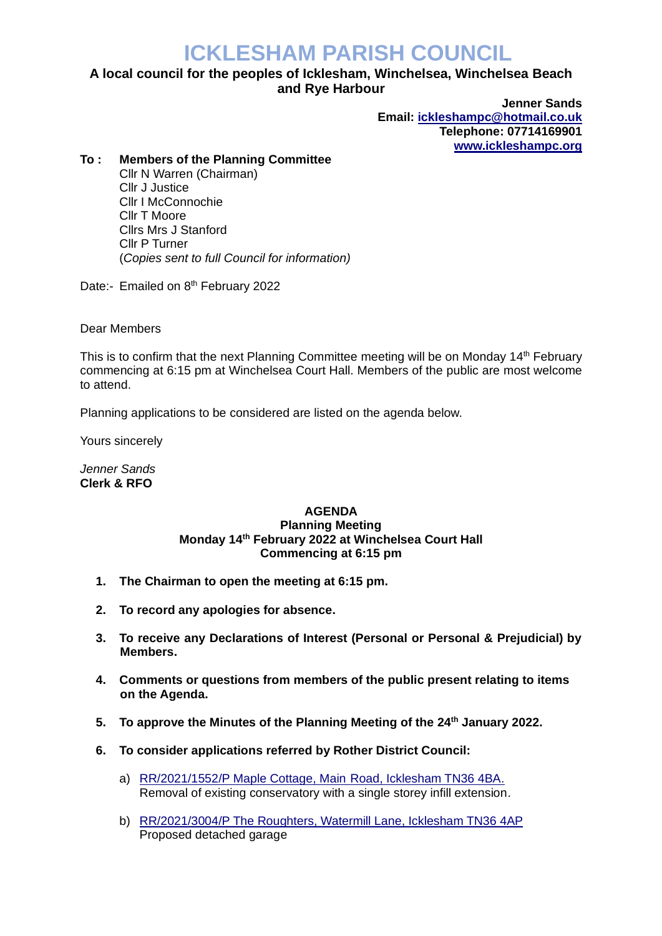## **ICKLESHAM PARISH COUNCIL**

## **A local council for the peoples of Icklesham, Winchelsea, Winchelsea Beach and Rye Harbour**

**Jenner Sands Email: [ickleshampc@hotmail.co.uk](mailto:ickleshampc@hotmail.co.uk) Telephone: 07714169901 [www.ickleshampc.org](http://www.ickleshampc.org/)**

## **To : Members of the Planning Committee**

Cllr N Warren (Chairman) Cllr J Justice Cllr I McConnochie Cllr T Moore Cllrs Mrs J Stanford Cllr P Turner (*Copies sent to full Council for information)*

Date:- Emailed on 8<sup>th</sup> February 2022

Dear Members

This is to confirm that the next Planning Committee meeting will be on Monday 14<sup>th</sup> February commencing at 6:15 pm at Winchelsea Court Hall. Members of the public are most welcome to attend.

Planning applications to be considered are listed on the agenda below.

Yours sincerely

*Jenner Sands* **Clerk & RFO**

## **AGENDA Planning Meeting Monday 14th February 2022 at Winchelsea Court Hall Commencing at 6:15 pm**

- **1. The Chairman to open the meeting at 6:15 pm.**
- **2. To record any apologies for absence.**
- **3. To receive any Declarations of Interest (Personal or Personal & Prejudicial) by Members.**
- **4. Comments or questions from members of the public present relating to items on the Agenda.**
- **5. To approve the Minutes of the Planning Meeting of the 24th January 2022.**
- **6. To consider applications referred by Rother District Council:**
	- a) RR/2021/1552/P Maple Cottage, Main [Road, Icklesham TN36 4BA.](http://planweb01.rother.gov.uk/OcellaWeb/planningDetails?reference=RR/2021/1552/P) Removal of existing conservatory with a single storey infill extension.
	- b) RR/2021/3004/P [The Roughters, Watermill Lane, Icklesham TN36 4AP](http://planweb01.rother.gov.uk/OcellaWeb/planningDetails?reference=RR/2021/3004/P) Proposed detached garage